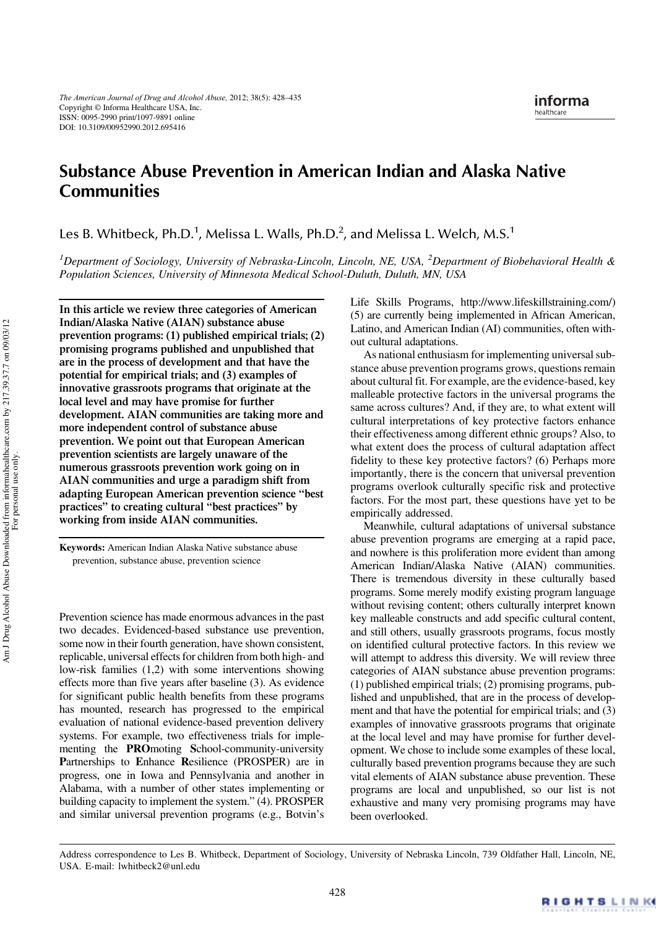# Substance Abuse Prevention in American Indian and Alaska Native **Communities**

Les B. Whitbeck, Ph.D.<sup>1</sup>, Melissa L. Walls, Ph.D.<sup>2</sup>, and Melissa L. Welch, M.S.<sup>1</sup>

<sup>1</sup>Department of Sociology, University of Nebraska-Lincoln, Lincoln, NE, USA, <sup>2</sup>Department of Biobehavioral Health & Population Sciences, University of Minnesota Medical School-Duluth, Duluth, MN, USA

In this article we review three categories of American Indian/Alaska Native (AIAN) substance abuse prevention programs: (1) published empirical trials; (2) promising programs published and unpublished that are in the process of development and that have the potential for empirical trials; and (3) examples of innovative grassroots programs that originate at the local level and may have promise for further development. AIAN communities are taking more and more independent control of substance abuse prevention. We point out that European American prevention scientists are largely unaware of the numerous grassroots prevention work going on in AIAN communities and urge a paradigm shift from adapting European American prevention science "best practices" to creating cultural "best practices" by working from inside AIAN communities.

Keywords: American Indian Alaska Native substance abuse prevention, substance abuse, prevention science

Prevention science has made enormous advances in the past two decades. Evidenced-based substance use prevention, some now in their fourth generation, have shown consistent, replicable, universal effects for children from both high- and low-risk families (1,2) with some interventions showing effects more than five years after baseline (3). As evidence for significant public health benefits from these programs has mounted, research has progressed to the empirical evaluation of national evidence-based prevention delivery systems. For example, two effectiveness trials for implementing the PROmoting School-community-university Partnerships to Enhance Resilience (PROSPER) are in progress, one in Iowa and Pennsylvania and another in Alabama, with a number of other states implementing or building capacity to implement the system." (4). PROSPER and similar universal prevention programs (e.g., Botvin's Life Skills Programs, http://www.lifeskillstraining.com/) (5) are currently being implemented in African American, Latino, and American Indian (AI) communities, often without cultural adaptations.

As national enthusiasm for implementing universal substance abuse prevention programs grows, questions remain about cultural fit. For example, are the evidence-based, key malleable protective factors in the universal programs the same across cultures? And, if they are, to what extent will cultural interpretations of key protective factors enhance their effectiveness among different ethnic groups? Also, to what extent does the process of cultural adaptation affect fidelity to these key protective factors? (6) Perhaps more importantly, there is the concern that universal prevention programs overlook culturally specific risk and protective factors. For the most part, these questions have yet to be empirically addressed.

Meanwhile, cultural adaptations of universal substance abuse prevention programs are emerging at a rapid pace, and nowhere is this proliferation more evident than among American Indian/Alaska Native (AIAN) communities. There is tremendous diversity in these culturally based programs. Some merely modify existing program language without revising content; others culturally interpret known key malleable constructs and add specific cultural content, and still others, usually grassroots programs, focus mostly on identified cultural protective factors. In this review we will attempt to address this diversity. We will review three categories of AIAN substance abuse prevention programs: (1) published empirical trials; (2) promising programs, published and unpublished, that are in the process of development and that have the potential for empirical trials; and (3) examples of innovative grassroots programs that originate at the local level and may have promise for further development. We chose to include some examples of these local, culturally based prevention programs because they are such vital elements of AIAN substance abuse prevention. These programs are local and unpublished, so our list is not exhaustive and many very promising programs may have been overlooked.

Address correspondence to Les B. Whitbeck, Department of Sociology, University of Nebraska Lincoln, 739 Oldfather Hall, Lincoln, NE, USA. E-mail: lwhitbeck2@unl.edu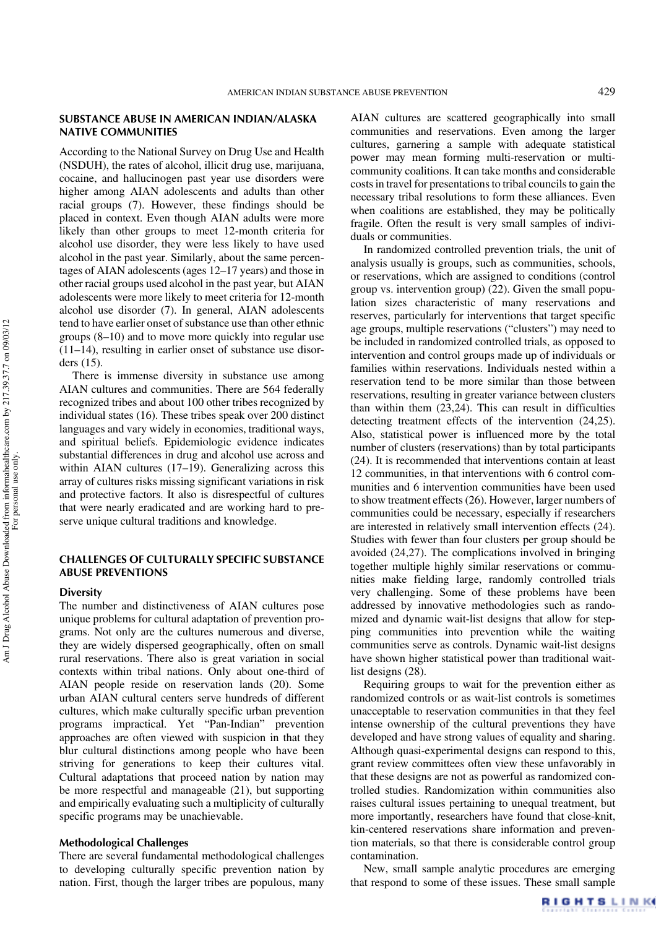## SUBSTANCE ABUSE IN AMERICAN INDIAN/ALASKA NATIVE COMMUNITIES

According to the National Survey on Drug Use and Health (NSDUH), the rates of alcohol, illicit drug use, marijuana, cocaine, and hallucinogen past year use disorders were higher among AIAN adolescents and adults than other racial groups (7). However, these findings should be placed in context. Even though AIAN adults were more likely than other groups to meet 12-month criteria for alcohol use disorder, they were less likely to have used alcohol in the past year. Similarly, about the same percentages of AIAN adolescents (ages 12–17 years) and those in other racial groups used alcohol in the past year, but AIAN adolescents were more likely to meet criteria for 12-month alcohol use disorder (7). In general, AIAN adolescents tend to have earlier onset of substance use than other ethnic groups (8–10) and to move more quickly into regular use (11–14), resulting in earlier onset of substance use disorders (15).

There is immense diversity in substance use among AIAN cultures and communities. There are 564 federally recognized tribes and about 100 other tribes recognized by individual states (16). These tribes speak over 200 distinct languages and vary widely in economies, traditional ways, and spiritual beliefs. Epidemiologic evidence indicates substantial differences in drug and alcohol use across and within AIAN cultures (17–19). Generalizing across this array of cultures risks missing significant variations in risk and protective factors. It also is disrespectful of cultures that were nearly eradicated and are working hard to preserve unique cultural traditions and knowledge.

## CHALLENGES OF CULTURALLY SPECIFIC SUBSTANCE ABUSE PREVENTIONS

#### **Diversity**

The number and distinctiveness of AIAN cultures pose unique problems for cultural adaptation of prevention programs. Not only are the cultures numerous and diverse, they are widely dispersed geographically, often on small rural reservations. There also is great variation in social contexts within tribal nations. Only about one-third of AIAN people reside on reservation lands (20). Some urban AIAN cultural centers serve hundreds of different cultures, which make culturally specific urban prevention programs impractical. Yet "Pan-Indian" prevention approaches are often viewed with suspicion in that they blur cultural distinctions among people who have been striving for generations to keep their cultures vital. Cultural adaptations that proceed nation by nation may be more respectful and manageable (21), but supporting and empirically evaluating such a multiplicity of culturally specific programs may be unachievable.

### Methodological Challenges

There are several fundamental methodological challenges to developing culturally specific prevention nation by nation. First, though the larger tribes are populous, many AIAN cultures are scattered geographically into small communities and reservations. Even among the larger cultures, garnering a sample with adequate statistical power may mean forming multi-reservation or multicommunity coalitions. It can take months and considerable costs in travel for presentations to tribal councils to gain the necessary tribal resolutions to form these alliances. Even when coalitions are established, they may be politically fragile. Often the result is very small samples of individuals or communities.

In randomized controlled prevention trials, the unit of analysis usually is groups, such as communities, schools, or reservations, which are assigned to conditions (control group vs. intervention group) (22). Given the small population sizes characteristic of many reservations and reserves, particularly for interventions that target specific age groups, multiple reservations ("clusters") may need to be included in randomized controlled trials, as opposed to intervention and control groups made up of individuals or families within reservations. Individuals nested within a reservation tend to be more similar than those between reservations, resulting in greater variance between clusters than within them (23,24). This can result in difficulties detecting treatment effects of the intervention (24,25). Also, statistical power is influenced more by the total number of clusters (reservations) than by total participants (24). It is recommended that interventions contain at least 12 communities, in that interventions with 6 control communities and 6 intervention communities have been used to show treatment effects (26). However, larger numbers of communities could be necessary, especially if researchers are interested in relatively small intervention effects (24). Studies with fewer than four clusters per group should be avoided (24,27). The complications involved in bringing together multiple highly similar reservations or communities make fielding large, randomly controlled trials very challenging. Some of these problems have been addressed by innovative methodologies such as randomized and dynamic wait-list designs that allow for stepping communities into prevention while the waiting communities serve as controls. Dynamic wait-list designs have shown higher statistical power than traditional waitlist designs (28).

Requiring groups to wait for the prevention either as randomized controls or as wait-list controls is sometimes unacceptable to reservation communities in that they feel intense ownership of the cultural preventions they have developed and have strong values of equality and sharing. Although quasi-experimental designs can respond to this, grant review committees often view these unfavorably in that these designs are not as powerful as randomized controlled studies. Randomization within communities also raises cultural issues pertaining to unequal treatment, but more importantly, researchers have found that close-knit, kin-centered reservations share information and prevention materials, so that there is considerable control group contamination.

New, small sample analytic procedures are emerging that respond to some of these issues. These small sample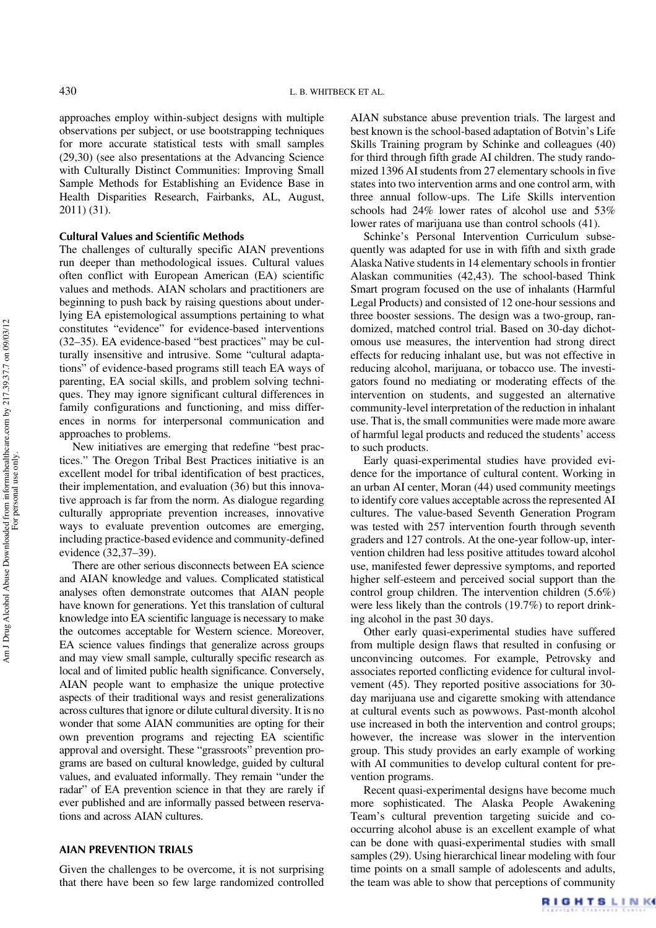approaches employ within-subject designs with multiple observations per subject, or use bootstrapping techniques for more accurate statistical tests with small samples (29,30) (see also presentations at the Advancing Science with Culturally Distinct Communities: Improving Small Sample Methods for Establishing an Evidence Base in Health Disparities Research, Fairbanks, AL, August, 2011) (31).

## Cultural Values and Scientific Methods

The challenges of culturally specific AIAN preventions run deeper than methodological issues. Cultural values often conflict with European American (EA) scientific values and methods. AIAN scholars and practitioners are beginning to push back by raising questions about underlying EA epistemological assumptions pertaining to what constitutes "evidence" for evidence-based interventions (32–35). EA evidence-based "best practices" may be culturally insensitive and intrusive. Some "cultural adaptations" of evidence-based programs still teach EA ways of parenting, EA social skills, and problem solving techniques. They may ignore significant cultural differences in family configurations and functioning, and miss differences in norms for interpersonal communication and approaches to problems.

New initiatives are emerging that redefine "best practices." The Oregon Tribal Best Practices initiative is an excellent model for tribal identification of best practices, their implementation, and evaluation (36) but this innovative approach is far from the norm. As dialogue regarding culturally appropriate prevention increases, innovative ways to evaluate prevention outcomes are emerging, including practice-based evidence and community-defined evidence (32,37–39).

There are other serious disconnects between EA science and AIAN knowledge and values. Complicated statistical analyses often demonstrate outcomes that AIAN people have known for generations. Yet this translation of cultural knowledge into EA scientific language is necessary to make the outcomes acceptable for Western science. Moreover, EA science values findings that generalize across groups and may view small sample, culturally specific research as local and of limited public health significance. Conversely, AIAN people want to emphasize the unique protective aspects of their traditional ways and resist generalizations across cultures that ignore or dilute cultural diversity. It is no wonder that some AIAN communities are opting for their own prevention programs and rejecting EA scientific approval and oversight. These "grassroots" prevention programs are based on cultural knowledge, guided by cultural values, and evaluated informally. They remain "under the radar" of EA prevention science in that they are rarely if ever published and are informally passed between reservations and across AIAN cultures.

#### AIAN PREVENTION TRIALS

Given the challenges to be overcome, it is not surprising that there have been so few large randomized controlled AIAN substance abuse prevention trials. The largest and best known is the school-based adaptation of Botvin's Life Skills Training program by Schinke and colleagues (40) for third through fifth grade AI children. The study randomized 1396 AI students from 27 elementary schools in five states into two intervention arms and one control arm, with three annual follow-ups. The Life Skills intervention schools had 24% lower rates of alcohol use and 53% lower rates of marijuana use than control schools (41).

Schinke's Personal Intervention Curriculum subsequently was adapted for use in with fifth and sixth grade Alaska Native students in 14 elementary schools in frontier Alaskan communities (42,43). The school-based Think Smart program focused on the use of inhalants (Harmful Legal Products) and consisted of 12 one-hour sessions and three booster sessions. The design was a two-group, randomized, matched control trial. Based on 30-day dichotomous use measures, the intervention had strong direct effects for reducing inhalant use, but was not effective in reducing alcohol, marijuana, or tobacco use. The investigators found no mediating or moderating effects of the intervention on students, and suggested an alternative community-level interpretation of the reduction in inhalant use. That is, the small communities were made more aware of harmful legal products and reduced the students' access to such products.

Early quasi-experimental studies have provided evidence for the importance of cultural content. Working in an urban AI center, Moran (44) used community meetings to identify core values acceptable across the represented AI cultures. The value-based Seventh Generation Program was tested with 257 intervention fourth through seventh graders and 127 controls. At the one-year follow-up, intervention children had less positive attitudes toward alcohol use, manifested fewer depressive symptoms, and reported higher self-esteem and perceived social support than the control group children. The intervention children (5.6%) were less likely than the controls (19.7%) to report drinking alcohol in the past 30 days.

Other early quasi-experimental studies have suffered from multiple design flaws that resulted in confusing or unconvincing outcomes. For example, Petrovsky and associates reported conflicting evidence for cultural involvement (45). They reported positive associations for 30 day marijuana use and cigarette smoking with attendance at cultural events such as powwows. Past-month alcohol use increased in both the intervention and control groups; however, the increase was slower in the intervention group. This study provides an early example of working with AI communities to develop cultural content for prevention programs.

Recent quasi-experimental designs have become much more sophisticated. The Alaska People Awakening Team's cultural prevention targeting suicide and cooccurring alcohol abuse is an excellent example of what can be done with quasi-experimental studies with small samples (29). Using hierarchical linear modeling with four time points on a small sample of adolescents and adults, the team was able to show that perceptions of community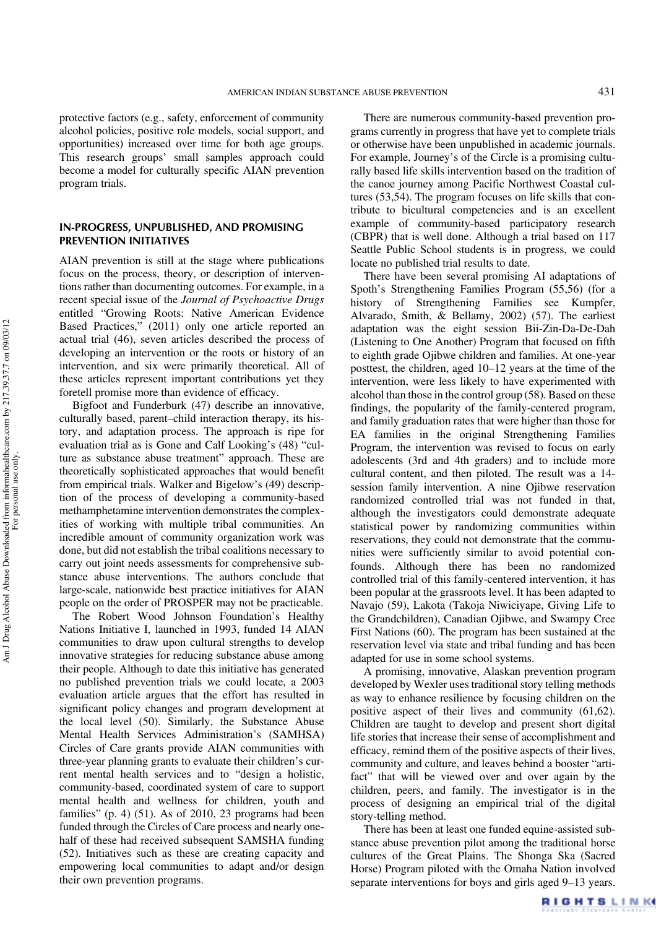protective factors (e.g., safety, enforcement of community alcohol policies, positive role models, social support, and opportunities) increased over time for both age groups. This research groups' small samples approach could become a model for culturally specific AIAN prevention program trials.

## IN-PROGRESS, UNPUBLISHED, AND PROMISING PREVENTION INITIATIVES

AIAN prevention is still at the stage where publications focus on the process, theory, or description of interventions rather than documenting outcomes. For example, in a recent special issue of the Journal of Psychoactive Drugs entitled "Growing Roots: Native American Evidence Based Practices," (2011) only one article reported an actual trial (46), seven articles described the process of developing an intervention or the roots or history of an intervention, and six were primarily theoretical. All of these articles represent important contributions yet they foretell promise more than evidence of efficacy.

Bigfoot and Funderburk (47) describe an innovative, culturally based, parent–child interaction therapy, its history, and adaptation process. The approach is ripe for evaluation trial as is Gone and Calf Looking's (48) "culture as substance abuse treatment" approach. These are theoretically sophisticated approaches that would benefit from empirical trials. Walker and Bigelow's (49) description of the process of developing a community-based methamphetamine intervention demonstrates the complexities of working with multiple tribal communities. An incredible amount of community organization work was done, but did not establish the tribal coalitions necessary to carry out joint needs assessments for comprehensive substance abuse interventions. The authors conclude that large-scale, nationwide best practice initiatives for AIAN people on the order of PROSPER may not be practicable.

The Robert Wood Johnson Foundation's Healthy Nations Initiative I, launched in 1993, funded 14 AIAN communities to draw upon cultural strengths to develop innovative strategies for reducing substance abuse among their people. Although to date this initiative has generated no published prevention trials we could locate, a 2003 evaluation article argues that the effort has resulted in significant policy changes and program development at the local level (50). Similarly, the Substance Abuse Mental Health Services Administration's (SAMHSA) Circles of Care grants provide AIAN communities with three-year planning grants to evaluate their children's current mental health services and to "design a holistic, community-based, coordinated system of care to support mental health and wellness for children, youth and families" (p. 4) (51). As of 2010, 23 programs had been funded through the Circles of Care process and nearly onehalf of these had received subsequent SAMSHA funding (52). Initiatives such as these are creating capacity and empowering local communities to adapt and/or design their own prevention programs.

There are numerous community-based prevention programs currently in progress that have yet to complete trials or otherwise have been unpublished in academic journals. For example, Journey's of the Circle is a promising culturally based life skills intervention based on the tradition of the canoe journey among Pacific Northwest Coastal cultures (53,54). The program focuses on life skills that contribute to bicultural competencies and is an excellent example of community-based participatory research (CBPR) that is well done. Although a trial based on 117 Seattle Public School students is in progress, we could locate no published trial results to date.

There have been several promising AI adaptations of Spoth's Strengthening Families Program (55,56) (for a history of Strengthening Families see Kumpfer, Alvarado, Smith, & Bellamy, 2002) (57). The earliest adaptation was the eight session Bii-Zin-Da-De-Dah (Listening to One Another) Program that focused on fifth to eighth grade Ojibwe children and families. At one-year posttest, the children, aged 10–12 years at the time of the intervention, were less likely to have experimented with alcohol than those in the control group (58). Based on these findings, the popularity of the family-centered program, and family graduation rates that were higher than those for EA families in the original Strengthening Families Program, the intervention was revised to focus on early adolescents (3rd and 4th graders) and to include more cultural content, and then piloted. The result was a 14 session family intervention. A nine Ojibwe reservation randomized controlled trial was not funded in that, although the investigators could demonstrate adequate statistical power by randomizing communities within reservations, they could not demonstrate that the communities were sufficiently similar to avoid potential confounds. Although there has been no randomized controlled trial of this family-centered intervention, it has been popular at the grassroots level. It has been adapted to Navajo (59), Lakota (Takoja Niwiciyape, Giving Life to the Grandchildren), Canadian Ojibwe, and Swampy Cree First Nations (60). The program has been sustained at the reservation level via state and tribal funding and has been adapted for use in some school systems.

A promising, innovative, Alaskan prevention program developed by Wexler uses traditional story telling methods as way to enhance resilience by focusing children on the positive aspect of their lives and community (61,62). Children are taught to develop and present short digital life stories that increase their sense of accomplishment and efficacy, remind them of the positive aspects of their lives, community and culture, and leaves behind a booster "artifact" that will be viewed over and over again by the children, peers, and family. The investigator is in the process of designing an empirical trial of the digital story-telling method.

There has been at least one funded equine-assisted substance abuse prevention pilot among the traditional horse cultures of the Great Plains. The Shonga Ska (Sacred Horse) Program piloted with the Omaha Nation involved separate interventions for boys and girls aged 9–13 years.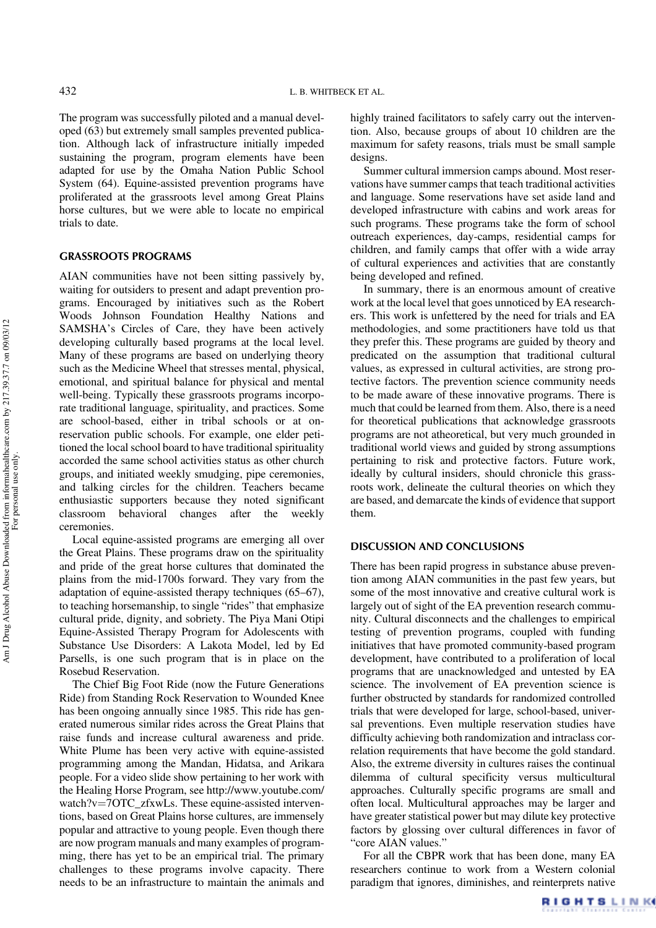The program was successfully piloted and a manual developed (63) but extremely small samples prevented publication. Although lack of infrastructure initially impeded sustaining the program, program elements have been adapted for use by the Omaha Nation Public School System (64). Equine-assisted prevention programs have proliferated at the grassroots level among Great Plains horse cultures, but we were able to locate no empirical trials to date.

## GRASSROOTS PROGRAMS

AIAN communities have not been sitting passively by, waiting for outsiders to present and adapt prevention programs. Encouraged by initiatives such as the Robert Woods Johnson Foundation Healthy Nations and SAMSHA's Circles of Care, they have been actively developing culturally based programs at the local level. Many of these programs are based on underlying theory such as the Medicine Wheel that stresses mental, physical, emotional, and spiritual balance for physical and mental well-being. Typically these grassroots programs incorporate traditional language, spirituality, and practices. Some are school-based, either in tribal schools or at onreservation public schools. For example, one elder petitioned the local school board to have traditional spirituality accorded the same school activities status as other church groups, and initiated weekly smudging, pipe ceremonies, and talking circles for the children. Teachers became enthusiastic supporters because they noted significant classroom behavioral changes after the weekly ceremonies.

Local equine-assisted programs are emerging all over the Great Plains. These programs draw on the spirituality and pride of the great horse cultures that dominated the plains from the mid-1700s forward. They vary from the adaptation of equine-assisted therapy techniques (65–67), to teaching horsemanship, to single "rides" that emphasize cultural pride, dignity, and sobriety. The Piya Mani Otipi Equine-Assisted Therapy Program for Adolescents with Substance Use Disorders: A Lakota Model, led by Ed Parsells, is one such program that is in place on the Rosebud Reservation.

The Chief Big Foot Ride (now the Future Generations Ride) from Standing Rock Reservation to Wounded Knee has been ongoing annually since 1985. This ride has generated numerous similar rides across the Great Plains that raise funds and increase cultural awareness and pride. White Plume has been very active with equine-assisted programming among the Mandan, Hidatsa, and Arikara people. For a video slide show pertaining to her work with the Healing Horse Program, see http://www.youtube.com/ watch?v=7OTC zfxwLs. These equine-assisted interventions, based on Great Plains horse cultures, are immensely popular and attractive to young people. Even though there are now program manuals and many examples of programming, there has yet to be an empirical trial. The primary challenges to these programs involve capacity. There needs to be an infrastructure to maintain the animals and

highly trained facilitators to safely carry out the intervention. Also, because groups of about 10 children are the maximum for safety reasons, trials must be small sample designs.

Summer cultural immersion camps abound. Most reservations have summer camps that teach traditional activities and language. Some reservations have set aside land and developed infrastructure with cabins and work areas for such programs. These programs take the form of school outreach experiences, day-camps, residential camps for children, and family camps that offer with a wide array of cultural experiences and activities that are constantly being developed and refined.

In summary, there is an enormous amount of creative work at the local level that goes unnoticed by EA researchers. This work is unfettered by the need for trials and EA methodologies, and some practitioners have told us that they prefer this. These programs are guided by theory and predicated on the assumption that traditional cultural values, as expressed in cultural activities, are strong protective factors. The prevention science community needs to be made aware of these innovative programs. There is much that could be learned from them. Also, there is a need for theoretical publications that acknowledge grassroots programs are not atheoretical, but very much grounded in traditional world views and guided by strong assumptions pertaining to risk and protective factors. Future work, ideally by cultural insiders, should chronicle this grassroots work, delineate the cultural theories on which they are based, and demarcate the kinds of evidence that support them.

#### DISCUSSION AND CONCLUSIONS

There has been rapid progress in substance abuse prevention among AIAN communities in the past few years, but some of the most innovative and creative cultural work is largely out of sight of the EA prevention research community. Cultural disconnects and the challenges to empirical testing of prevention programs, coupled with funding initiatives that have promoted community-based program development, have contributed to a proliferation of local programs that are unacknowledged and untested by EA science. The involvement of EA prevention science is further obstructed by standards for randomized controlled trials that were developed for large, school-based, universal preventions. Even multiple reservation studies have difficulty achieving both randomization and intraclass correlation requirements that have become the gold standard. Also, the extreme diversity in cultures raises the continual dilemma of cultural specificity versus multicultural approaches. Culturally specific programs are small and often local. Multicultural approaches may be larger and have greater statistical power but may dilute key protective factors by glossing over cultural differences in favor of "core AIAN values."

For all the CBPR work that has been done, many EA researchers continue to work from a Western colonial paradigm that ignores, diminishes, and reinterprets native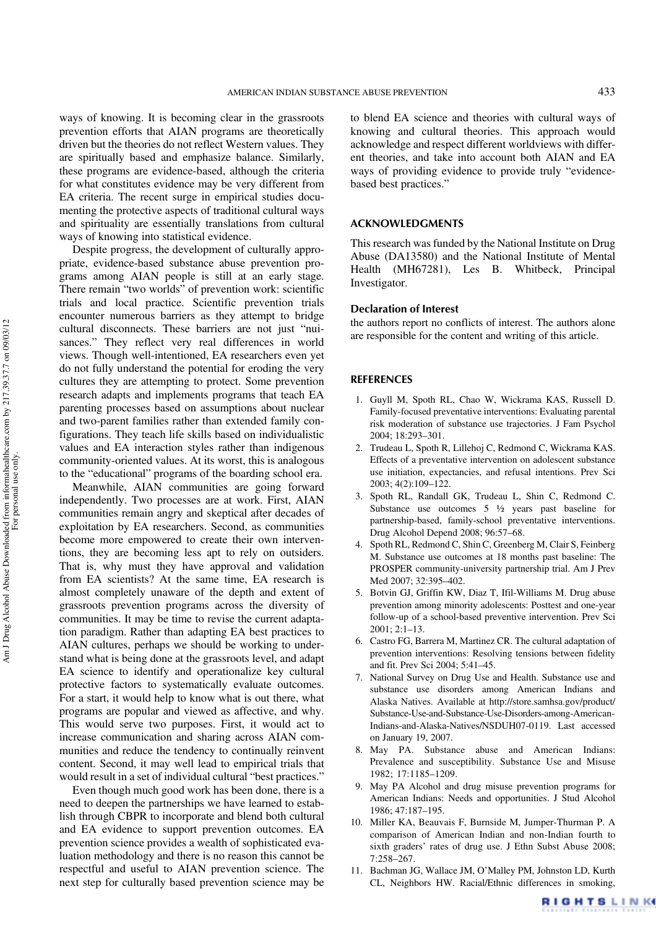ways of knowing. It is becoming clear in the grassroots prevention efforts that AIAN programs are theoretically driven but the theories do not reflect Western values. They are spiritually based and emphasize balance. Similarly, these programs are evidence-based, although the criteria for what constitutes evidence may be very different from EA criteria. The recent surge in empirical studies documenting the protective aspects of traditional cultural ways and spirituality are essentially translations from cultural ways of knowing into statistical evidence.

Despite progress, the development of culturally appropriate, evidence-based substance abuse prevention programs among AIAN people is still at an early stage. There remain "two worlds" of prevention work: scientific trials and local practice. Scientific prevention trials encounter numerous barriers as they attempt to bridge cultural disconnects. These barriers are not just "nuisances." They reflect very real differences in world views. Though well-intentioned, EA researchers even yet do not fully understand the potential for eroding the very cultures they are attempting to protect. Some prevention research adapts and implements programs that teach EA parenting processes based on assumptions about nuclear and two-parent families rather than extended family configurations. They teach life skills based on individualistic values and EA interaction styles rather than indigenous community-oriented values. At its worst, this is analogous to the "educational" programs of the boarding school era.

Meanwhile, AIAN communities are going forward independently. Two processes are at work. First, AIAN communities remain angry and skeptical after decades of exploitation by EA researchers. Second, as communities become more empowered to create their own interventions, they are becoming less apt to rely on outsiders. That is, why must they have approval and validation from EA scientists? At the same time, EA research is almost completely unaware of the depth and extent of grassroots prevention programs across the diversity of communities. It may be time to revise the current adaptation paradigm. Rather than adapting EA best practices to AIAN cultures, perhaps we should be working to understand what is being done at the grassroots level, and adapt EA science to identify and operationalize key cultural protective factors to systematically evaluate outcomes. For a start, it would help to know what is out there, what programs are popular and viewed as affective, and why. This would serve two purposes. First, it would act to increase communication and sharing across AIAN communities and reduce the tendency to continually reinvent content. Second, it may well lead to empirical trials that would result in a set of individual cultural "best practices."

Even though much good work has been done, there is a need to deepen the partnerships we have learned to establish through CBPR to incorporate and blend both cultural and EA evidence to support prevention outcomes. EA prevention science provides a wealth of sophisticated evaluation methodology and there is no reason this cannot be respectful and useful to AIAN prevention science. The next step for culturally based prevention science may be to blend EA science and theories with cultural ways of knowing and cultural theories. This approach would acknowledge and respect different worldviews with different theories, and take into account both AIAN and EA ways of providing evidence to provide truly "evidencebased best practices."

#### ACKNOWLEDGMENTS

This research was funded by the National Institute on Drug Abuse (DA13580) and the National Institute of Mental Health (MH67281), Les B. Whitbeck, Principal Investigator.

#### Declaration of Interest

the authors report no conflicts of interest. The authors alone are responsible for the content and writing of this article.

#### REFERENCES

- 1. Guyll M, Spoth RL, Chao W, Wickrama KAS, Russell D. Family-focused preventative interventions: Evaluating parental risk moderation of substance use trajectories. J Fam Psychol 2004; 18:293–301.
- 2. Trudeau L, Spoth R, Lillehoj C, Redmond C, Wickrama KAS. Effects of a preventative intervention on adolescent substance use initiation, expectancies, and refusal intentions. Prev Sci 2003; 4(2):109–122.
- 3. Spoth RL, Randall GK, Trudeau L, Shin C, Redmond C. Substance use outcomes 5 ½ years past baseline for partnership-based, family-school preventative interventions. Drug Alcohol Depend 2008; 96:57–68.
- 4. Spoth RL, Redmond C, Shin C, Greenberg M, Clair S, Feinberg M. Substance use outcomes at 18 months past baseline: The PROSPER community-university partnership trial. Am J Prev Med 2007; 32:395–402.
- 5. Botvin GJ, Griffin KW, Diaz T, Ifil-Williams M. Drug abuse prevention among minority adolescents: Posttest and one-year follow-up of a school-based preventive intervention. Prev Sci 2001; 2:1–13.
- 6. Castro FG, Barrera M, Martinez CR. The cultural adaptation of prevention interventions: Resolving tensions between fidelity and fit. Prev Sci 2004; 5:41–45.
- 7. National Survey on Drug Use and Health. Substance use and substance use disorders among American Indians and Alaska Natives. Available at http://store.samhsa.gov/product/ Substance-Use-and-Substance-Use-Disorders-among-American-Indians-and-Alaska-Natives/NSDUH07-0119. Last accessed on January 19, 2007.
- 8. May PA. Substance abuse and American Indians: Prevalence and susceptibility. Substance Use and Misuse 1982; 17:1185–1209.
- 9. May PA Alcohol and drug misuse prevention programs for American Indians: Needs and opportunities. J Stud Alcohol 1986; 47:187–195.
- 10. Miller KA, Beauvais F, Burnside M, Jumper-Thurman P. A comparison of American Indian and non-Indian fourth to sixth graders' rates of drug use. J Ethn Subst Abuse 2008; 7:258–267.
- 11. Bachman JG, Wallace JM, O'Malley PM, Johnston LD, Kurth CL, Neighbors HW. Racial/Ethnic differences in smoking,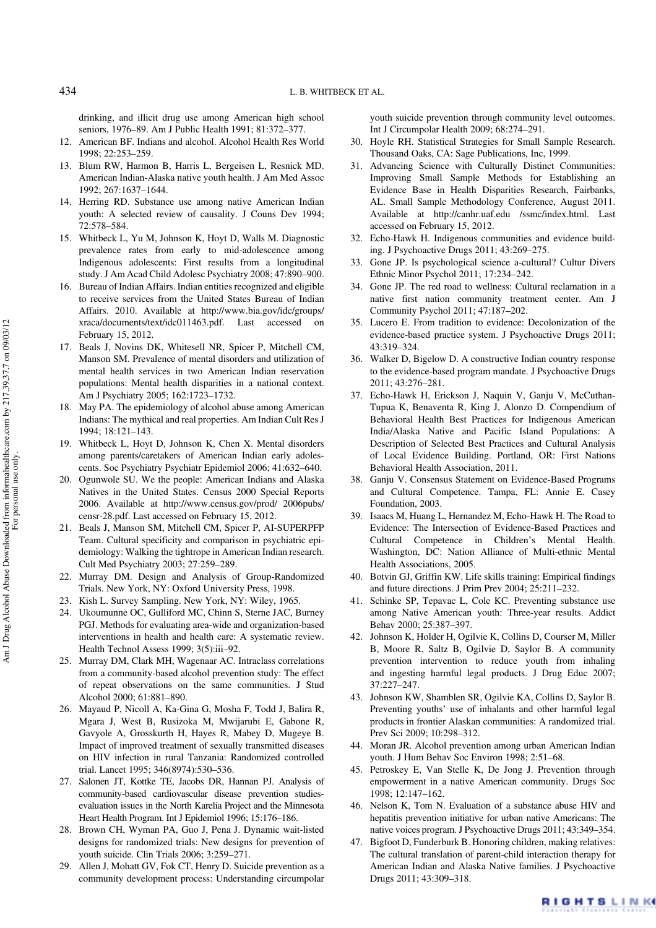drinking, and illicit drug use among American high school seniors, 1976–89. Am J Public Health 1991; 81:372–377.

- 12. American BF. Indians and alcohol. Alcohol Health Res World 1998; 22:253–259.
- 13. Blum RW, Harmon B, Harris L, Bergeisen L, Resnick MD. American Indian-Alaska native youth health. J Am Med Assoc 1992; 267:1637–1644.
- 14. Herring RD. Substance use among native American Indian youth: A selected review of causality. J Couns Dev 1994; 72:578–584.
- 15. Whitbeck L, Yu M, Johnson K, Hoyt D, Walls M. Diagnostic prevalence rates from early to mid-adolescence among Indigenous adolescents: First results from a longitudinal study. J Am Acad Child Adolesc Psychiatry 2008; 47:890–900.
- 16. Bureau of Indian Affairs. Indian entities recognized and eligible to receive services from the United States Bureau of Indian Affairs. 2010. Available at http://www.bia.gov/idc/groups/ xraca/documents/text/idc011463.pdf. Last accessed on February 15, 2012.
- 17. Beals J, Novins DK, Whitesell NR, Spicer P, Mitchell CM, Manson SM. Prevalence of mental disorders and utilization of mental health services in two American Indian reservation populations: Mental health disparities in a national context. Am J Psychiatry 2005; 162:1723–1732.
- 18. May PA. The epidemiology of alcohol abuse among American Indians: The mythical and real properties. Am Indian Cult Res J 1994; 18:121–143.
- 19. Whitbeck L, Hoyt D, Johnson K, Chen X. Mental disorders among parents/caretakers of American Indian early adolescents. Soc Psychiatry Psychiatr Epidemiol 2006; 41:632–640.
- 20. Ogunwole SU. We the people: American Indians and Alaska Natives in the United States. Census 2000 Special Reports 2006. Available at http://www.census.gov/prod/ 2006pubs/ censr-28.pdf. Last accessed on February 15, 2012.
- 21. Beals J, Manson SM, Mitchell CM, Spicer P, AI-SUPERPFP Team. Cultural specificity and comparison in psychiatric epidemiology: Walking the tightrope in American Indian research. Cult Med Psychiatry 2003; 27:259–289.
- 22. Murray DM. Design and Analysis of Group-Randomized Trials. New York, NY: Oxford University Press, 1998.
- 23. Kish L. Survey Sampling. New York, NY: Wiley, 1965.
- 24. Ukoumunne OC, Gulliford MC, Chinn S, Sterne JAC, Burney PGJ. Methods for evaluating area-wide and organization-based interventions in health and health care: A systematic review. Health Technol Assess 1999; 3(5):iii-92.
- 25. Murray DM, Clark MH, Wagenaar AC. Intraclass correlations from a community-based alcohol prevention study: The effect of repeat observations on the same communities. J Stud Alcohol 2000; 61:881–890.
- 26. Mayaud P, Nicoll A, Ka-Gina G, Mosha F, Todd J, Balira R, Mgara J, West B, Rusizoka M, Mwijarubi E, Gabone R, Gavyole A, Grosskurth H, Hayes R, Mabey D, Mugeye B. Impact of improved treatment of sexually transmitted diseases on HIV infection in rural Tanzania: Randomized controlled trial. Lancet 1995; 346(8974):530–536.
- 27. Salonen JT, Kottke TE, Jacobs DR, Hannan PJ. Analysis of community-based cardiovascular disease prevention studiesevaluation issues in the North Karelia Project and the Minnesota Heart Health Program. Int J Epidemiol 1996; 15:176–186.
- 28. Brown CH, Wyman PA, Guo J, Pena J. Dynamic wait-listed designs for randomized trials: New designs for prevention of youth suicide. Clin Trials 2006; 3:259–271.
- 29. Allen J, Mohatt GV, Fok CT, Henry D. Suicide prevention as a community development process: Understanding circumpolar

youth suicide prevention through community level outcomes. Int J Circumpolar Health 2009; 68:274–291.

- 30. Hoyle RH. Statistical Strategies for Small Sample Research. Thousand Oaks, CA: Sage Publications, Inc, 1999.
- 31. Advancing Science with Culturally Distinct Communities: Improving Small Sample Methods for Establishing an Evidence Base in Health Disparities Research, Fairbanks, AL. Small Sample Methodology Conference, August 2011. Available at http://canhr.uaf.edu /ssmc/index.html. Last accessed on February 15, 2012.
- 32. Echo-Hawk H. Indigenous communities and evidence building. J Psychoactive Drugs 2011; 43:269–275.
- 33. Gone JP. Is psychological science a-cultural? Cultur Divers Ethnic Minor Psychol 2011; 17:234–242.
- 34. Gone JP. The red road to wellness: Cultural reclamation in a native first nation community treatment center. Am J Community Psychol 2011; 47:187–202.
- 35. Lucero E. From tradition to evidence: Decolonization of the evidence-based practice system. J Psychoactive Drugs 2011; 43:319–324.
- 36. Walker D, Bigelow D. A constructive Indian country response to the evidence-based program mandate. J Psychoactive Drugs 2011; 43:276–281.
- 37. Echo-Hawk H, Erickson J, Naquin V, Ganju V, McCuthan-Tupua K, Benaventa R, King J, Alonzo D. Compendium of Behavioral Health Best Practices for Indigenous American India/Alaska Native and Pacific Island Populations: A Description of Selected Best Practices and Cultural Analysis of Local Evidence Building. Portland, OR: First Nations Behavioral Health Association, 2011.
- 38. Ganju V. Consensus Statement on Evidence-Based Programs and Cultural Competence. Tampa, FL: Annie E. Casey Foundation, 2003.
- 39. Isaacs M, Huang L, Hernandez M, Echo-Hawk H. The Road to Evidence: The Intersection of Evidence-Based Practices and Cultural Competence in Children's Mental Health. Washington, DC: Nation Alliance of Multi-ethnic Mental Health Associations, 2005.
- 40. Botvin GJ, Griffin KW. Life skills training: Empirical findings and future directions. J Prim Prev 2004; 25:211–232.
- 41. Schinke SP, Tepavac L, Cole KC. Preventing substance use among Native American youth: Three-year results. Addict Behav 2000; 25:387–397.
- 42. Johnson K, Holder H, Ogilvie K, Collins D, Courser M, Miller B, Moore R, Saltz B, Ogilvie D, Saylor B. A community prevention intervention to reduce youth from inhaling and ingesting harmful legal products. J Drug Educ 2007; 37:227–247.
- 43. Johnson KW, Shamblen SR, Ogilvie KA, Collins D, Saylor B. Preventing youths' use of inhalants and other harmful legal products in frontier Alaskan communities: A randomized trial. Prev Sci 2009; 10:298–312.
- 44. Moran JR. Alcohol prevention among urban American Indian youth. J Hum Behav Soc Environ 1998; 2:51–68.
- 45. Petroskey E, Van Stelle K, De Jong J. Prevention through empowerment in a native American community. Drugs Soc 1998; 12:147–162.
- 46. Nelson K, Tom N. Evaluation of a substance abuse HIV and hepatitis prevention initiative for urban native Americans: The native voices program. J Psychoactive Drugs 2011; 43:349–354.
- 47. Bigfoot D, Funderburk B. Honoring children, making relatives: The cultural translation of parent-child interaction therapy for American Indian and Alaska Native families. J Psychoactive Drugs 2011; 43:309–318.